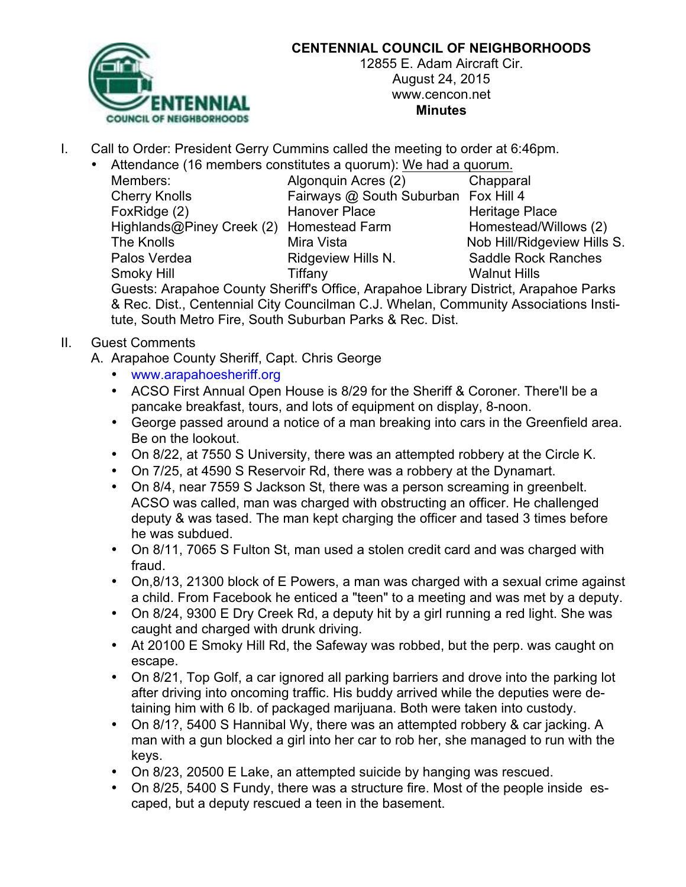

## **CENTENNIAL COUNCIL OF NEIGHBORHOODS**

12855 E. Adam Aircraft Cir. August 24, 2015 www.cencon.net **Minutes**

- I. Call to Order: President Gerry Cummins called the meeting to order at 6:46pm.
	- Attendance (16 members constitutes a quorum): We had a quorum.

| Members:                  | Algonquin Acr        |
|---------------------------|----------------------|
| <b>Cherry Knolls</b>      | Fairways @ S         |
| FoxRidge (2)              | Hanover Plac         |
| Highlands@Piney Creek (2) | Homestead Fa         |
| The Knolls                | Mira Vista           |
| Palos Verdea              | <b>Ridgeview Hil</b> |
| Smoky Hill                | Tiffany              |
|                           |                      |

res (2) Chapparal South Suburban Fox Hill 4 Formation Contribution Heritage Place arm Homestead/Willows (2) Nob Hill/Ridgeview Hills S. Ils N. Saddle Rock Ranches Walnut Hills

Guests: Arapahoe County Sheriff's Office, Arapahoe Library District, Arapahoe Parks & Rec. Dist., Centennial City Councilman C.J. Whelan, Community Associations Institute, South Metro Fire, South Suburban Parks & Rec. Dist.

- II. Guest Comments
	- A. Arapahoe County Sheriff, Capt. Chris George
		- www.arapahoesheriff.org
		- ACSO First Annual Open House is 8/29 for the Sheriff & Coroner. There'll be a pancake breakfast, tours, and lots of equipment on display, 8-noon.
		- George passed around a notice of a man breaking into cars in the Greenfield area. Be on the lookout.
		- On 8/22, at 7550 S University, there was an attempted robbery at the Circle K.
		- On 7/25, at 4590 S Reservoir Rd, there was a robbery at the Dynamart.
		- On 8/4, near 7559 S Jackson St, there was a person screaming in greenbelt. ACSO was called, man was charged with obstructing an officer. He challenged deputy & was tased. The man kept charging the officer and tased 3 times before he was subdued.
		- On 8/11, 7065 S Fulton St, man used a stolen credit card and was charged with fraud.
		- On,8/13, 21300 block of E Powers, a man was charged with a sexual crime against a child. From Facebook he enticed a "teen" to a meeting and was met by a deputy.
		- On 8/24, 9300 E Dry Creek Rd, a deputy hit by a girl running a red light. She was caught and charged with drunk driving.
		- At 20100 E Smoky Hill Rd, the Safeway was robbed, but the perp. was caught on escape.
		- On 8/21, Top Golf, a car ignored all parking barriers and drove into the parking lot after driving into oncoming traffic. His buddy arrived while the deputies were detaining him with 6 lb. of packaged marijuana. Both were taken into custody.
		- On 8/1?, 5400 S Hannibal Wy, there was an attempted robbery & car jacking. A man with a gun blocked a girl into her car to rob her, she managed to run with the keys.
		- On 8/23, 20500 E Lake, an attempted suicide by hanging was rescued.
		- On 8/25, 5400 S Fundy, there was a structure fire. Most of the people inside escaped, but a deputy rescued a teen in the basement.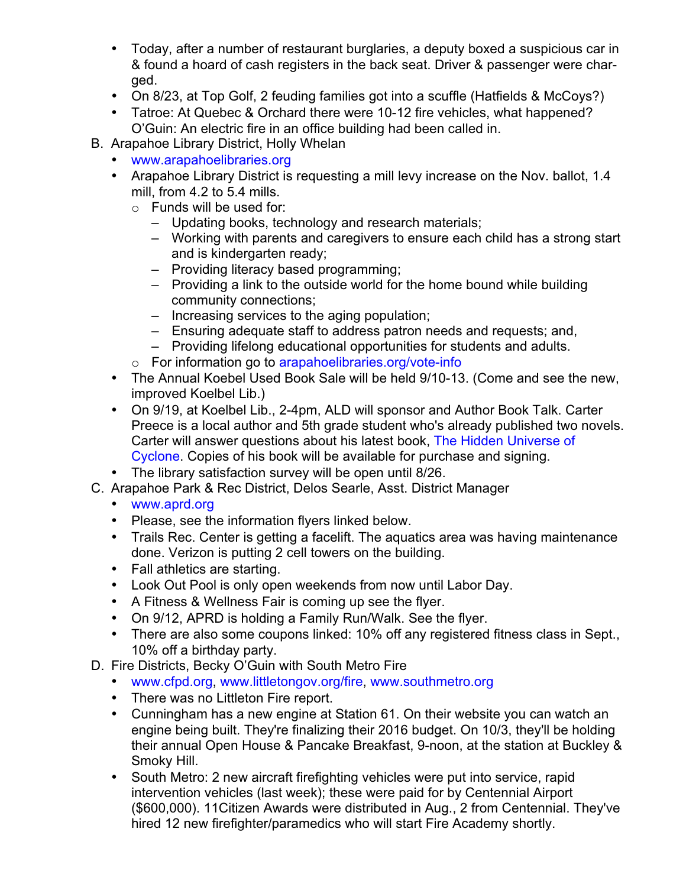- Today, after a number of restaurant burglaries, a deputy boxed a suspicious car in & found a hoard of cash registers in the back seat. Driver & passenger were charged.
- On 8/23, at Top Golf, 2 feuding families got into a scuffle (Hatfields & McCoys?)
- Tatroe: At Quebec & Orchard there were 10-12 fire vehicles, what happened? O'Guin: An electric fire in an office building had been called in.
- B. Arapahoe Library District, Holly Whelan
	- www.arapahoelibraries.org
	- Arapahoe Library District is requesting a mill levy increase on the Nov. ballot, 1.4 mill, from 4.2 to 5.4 mills.
		- o Funds will be used for:
			- Updating books, technology and research materials;
			- Working with parents and caregivers to ensure each child has a strong start and is kindergarten ready;
			- Providing literacy based programming;
			- Providing a link to the outside world for the home bound while building community connections;
			- Increasing services to the aging population;
			- Ensuring adequate staff to address patron needs and requests; and,
			- Providing lifelong educational opportunities for students and adults.
		- o For information go to arapahoelibraries.org/vote-info
	- The Annual Koebel Used Book Sale will be held 9/10-13. (Come and see the new, improved Koelbel Lib.)
	- On 9/19, at Koelbel Lib., 2-4pm, ALD will sponsor and Author Book Talk. Carter Preece is a local author and 5th grade student who's already published two novels. Carter will answer questions about his latest book, The Hidden Universe of Cyclone. Copies of his book will be available for purchase and signing.
	- The library satisfaction survey will be open until 8/26.
- C. Arapahoe Park & Rec District, Delos Searle, Asst. District Manager
	- www.aprd.org
	- Please, see the information flyers linked below.
	- Trails Rec. Center is getting a facelift. The aquatics area was having maintenance done. Verizon is putting 2 cell towers on the building.
	- Fall athletics are starting.
	- Look Out Pool is only open weekends from now until Labor Day.
	- A Fitness & Wellness Fair is coming up see the flyer.
	- On 9/12, APRD is holding a Family Run/Walk. See the flyer.
	- There are also some coupons linked: 10% off any registered fitness class in Sept., 10% off a birthday party.
- D. Fire Districts, Becky O'Guin with South Metro Fire
	- www.cfpd.org, www.littletongov.org/fire, www.southmetro.org
	- There was no Littleton Fire report.
	- Cunningham has a new engine at Station 61. On their website you can watch an engine being built. They're finalizing their 2016 budget. On 10/3, they'll be holding their annual Open House & Pancake Breakfast, 9-noon, at the station at Buckley & Smoky Hill.
	- South Metro: 2 new aircraft firefighting vehicles were put into service, rapid intervention vehicles (last week); these were paid for by Centennial Airport (\$600,000). 11Citizen Awards were distributed in Aug., 2 from Centennial. They've hired 12 new firefighter/paramedics who will start Fire Academy shortly.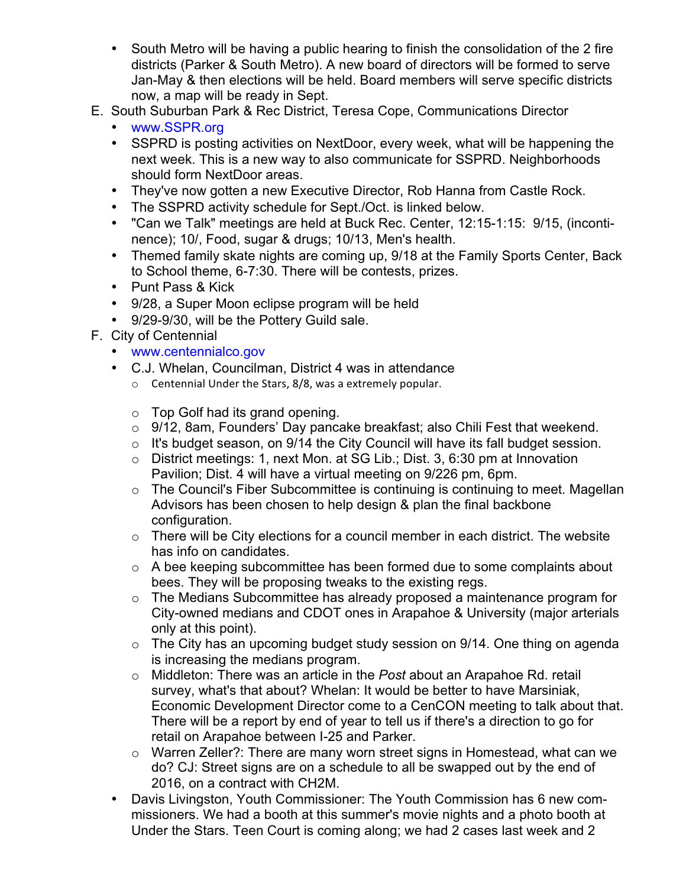- South Metro will be having a public hearing to finish the consolidation of the 2 fire districts (Parker & South Metro). A new board of directors will be formed to serve Jan-May & then elections will be held. Board members will serve specific districts now, a map will be ready in Sept.
- E. South Suburban Park & Rec District, Teresa Cope, Communications Director
	- www.SSPR.org
	- SSPRD is posting activities on NextDoor, every week, what will be happening the next week. This is a new way to also communicate for SSPRD. Neighborhoods should form NextDoor areas.
	- They've now gotten a new Executive Director, Rob Hanna from Castle Rock.
	- The SSPRD activity schedule for Sept./Oct. is linked below.
	- "Can we Talk" meetings are held at Buck Rec. Center, 12:15-1:15: 9/15, (incontinence); 10/, Food, sugar & drugs; 10/13, Men's health.
	- Themed family skate nights are coming up, 9/18 at the Family Sports Center, Back to School theme, 6-7:30. There will be contests, prizes.
	- Punt Pass & Kick
	- 9/28, a Super Moon eclipse program will be held
	- 9/29-9/30, will be the Pottery Guild sale.
- F. City of Centennial
	- www.centennialco.gov
	- C.J. Whelan, Councilman, District 4 was in attendance
		- $\circ$  Centennial Under the Stars, 8/8, was a extremely popular.
		- $\circ$  Top Golf had its grand opening.
		- $\circ$  9/12, 8am, Founders' Day pancake breakfast; also Chili Fest that weekend.
		- o It's budget season, on 9/14 the City Council will have its fall budget session.
		- o District meetings: 1, next Mon. at SG Lib.; Dist. 3, 6:30 pm at Innovation Pavilion; Dist. 4 will have a virtual meeting on 9/226 pm, 6pm.
		- o The Council's Fiber Subcommittee is continuing is continuing to meet. Magellan Advisors has been chosen to help design & plan the final backbone configuration.
		- $\circ$  There will be City elections for a council member in each district. The website has info on candidates.
		- o A bee keeping subcommittee has been formed due to some complaints about bees. They will be proposing tweaks to the existing regs.
		- o The Medians Subcommittee has already proposed a maintenance program for City-owned medians and CDOT ones in Arapahoe & University (major arterials only at this point).
		- $\circ$  The City has an upcoming budget study session on 9/14. One thing on agenda is increasing the medians program.
		- o Middleton: There was an article in the *Post* about an Arapahoe Rd. retail survey, what's that about? Whelan: It would be better to have Marsiniak, Economic Development Director come to a CenCON meeting to talk about that. There will be a report by end of year to tell us if there's a direction to go for retail on Arapahoe between I-25 and Parker.
		- o Warren Zeller?: There are many worn street signs in Homestead, what can we do? CJ: Street signs are on a schedule to all be swapped out by the end of 2016, on a contract with CH2M.
	- Davis Livingston, Youth Commissioner: The Youth Commission has 6 new commissioners. We had a booth at this summer's movie nights and a photo booth at Under the Stars. Teen Court is coming along; we had 2 cases last week and 2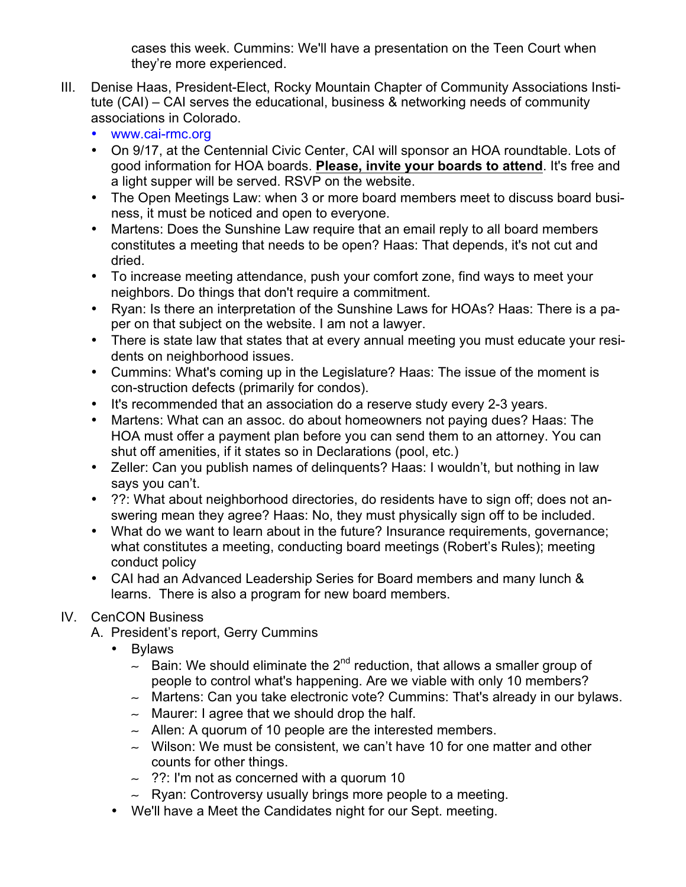cases this week. Cummins: We'll have a presentation on the Teen Court when they're more experienced.

- III. Denise Haas, President-Elect, Rocky Mountain Chapter of Community Associations Institute (CAI) – CAI serves the educational, business & networking needs of community associations in Colorado.
	- www.cai-rmc.org
	- On 9/17, at the Centennial Civic Center, CAI will sponsor an HOA roundtable. Lots of good information for HOA boards. **Please, invite your boards to attend**. It's free and a light supper will be served. RSVP on the website.
	- The Open Meetings Law: when 3 or more board members meet to discuss board business, it must be noticed and open to everyone.
	- Martens: Does the Sunshine Law require that an email reply to all board members constitutes a meeting that needs to be open? Haas: That depends, it's not cut and dried.
	- To increase meeting attendance, push your comfort zone, find ways to meet your neighbors. Do things that don't require a commitment.
	- Ryan: Is there an interpretation of the Sunshine Laws for HOAs? Haas: There is a paper on that subject on the website. I am not a lawyer.
	- There is state law that states that at every annual meeting you must educate your residents on neighborhood issues.
	- Cummins: What's coming up in the Legislature? Haas: The issue of the moment is con-struction defects (primarily for condos).
	- It's recommended that an association do a reserve study every 2-3 years.
	- Martens: What can an assoc. do about homeowners not paying dues? Haas: The HOA must offer a payment plan before you can send them to an attorney. You can shut off amenities, if it states so in Declarations (pool, etc.)
	- Zeller: Can you publish names of delinquents? Haas: I wouldn't, but nothing in law says you can't.
	- ??: What about neighborhood directories, do residents have to sign off; does not answering mean they agree? Haas: No, they must physically sign off to be included.
	- What do we want to learn about in the future? Insurance requirements, governance; what constitutes a meeting, conducting board meetings (Robert's Rules); meeting conduct policy
	- CAI had an Advanced Leadership Series for Board members and many lunch & learns. There is also a program for new board members.

## IV. CenCON Business

- A. President's report, Gerry Cummins
	- Bylaws
		- $\sim$  Bain: We should eliminate the 2<sup>nd</sup> reduction, that allows a smaller group of people to control what's happening. Are we viable with only 10 members?
		- $\sim$  Martens: Can you take electronic vote? Cummins: That's already in our bylaws.
		- $\sim$  Maurer: I agree that we should drop the half.
		- $\sim$  Allen: A quorum of 10 people are the interested members.
		- $\sim$  Wilson: We must be consistent, we can't have 10 for one matter and other counts for other things.
		- $\sim$  ??: I'm not as concerned with a quorum 10
		- $\sim$  Ryan: Controversy usually brings more people to a meeting.
	- We'll have a Meet the Candidates night for our Sept. meeting.